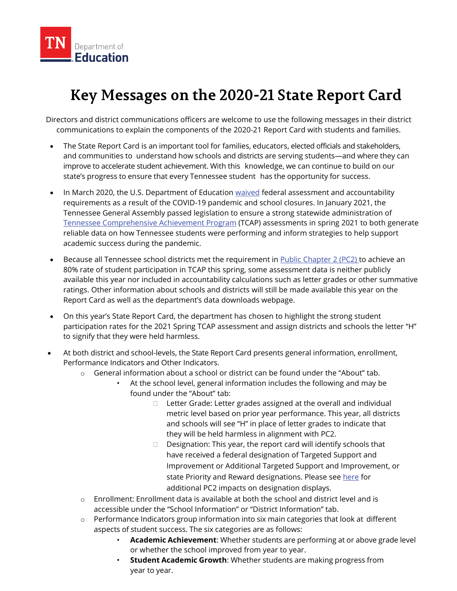

## **Key Messages on the 2020-21 State Report Card**

Directors and district communications officers are welcome to use the following messages in their district communications to explain the components of the 2020-21 Report Card with students and families.

- The State Report Card is an important tool for families, educators, elected officials and stakeholders, and communities to understand how schools and districts are serving students—and where they can improve to accelerate student achievement. With this knowledge, we can continue to build on our state's progress to ensure that every Tennessee student has the opportunity for success.
- In March 2020, the U.S. Department of Education [waived](https://www.tn.gov/content/dam/tn/education/health-&-safety/TN%20Covid19%20WaiverResponse.pdf) federal assessment and accountability requirements as a result of the COVID-19 pandemic and school closures. In January 2021, the Tennessee General Assembly passed legislation to ensure a strong statewide administration of [Tennessee Comprehensive Achievement Program](https://www.tn.gov/education/assessment.html) (TCAP) assessments in spring 2021 to both generate reliable data on how Tennessee students were performing and inform strategies to help support academic success during the pandemic.
- Because all Tennessee school districts met the requirement in [Public Chapter 2](https://publications.tnsosfiles.com/acts/112/extra/pc0002EOS.pdf) (PC2) to achieve an 80% rate of student participation in TCAP this spring, some assessment data is neither publicly available this year nor included in accountability calculations such as letter grades or other summative ratings. Other information about schools and districts will still be made available this year on the Report Card as well as the department's data downloads webpage.
- On this year's State Report Card, the department has chosen to highlight the strong student participation rates for the 2021 Spring TCAP assessment and assign districts and schools the letter "H" to signify that they were held harmless.
- At both district and school-levels, the State Report Card presents general information, enrollment, Performance Indicators and Other Indicators.
	- o General information about a school or district can be found under the "About" tab.
		- At the school level, general information includes the following and may be found under the "About" tab:
			- $\Box$  Letter Grade: Letter grades assigned at the overall and individual metric level based on prior year performance. This year, all districts and schools will see "H" in place of letter grades to indicate that they will be held harmless in alignment with PC2.
			- $\Box$  Designation: This year, the report card will identify schools that have received a federal designation of Targeted Support and Improvement or Additional Targeted Support and Improvement, or state Priority and Reward designations. Please see [here](https://www.tn.gov/content/dam/tn/education/2020-21-leg-session/Accountability%20Parents%20and%20Families%20Summary%20of%20Legislation%20-508.pdf) for additional PC2 impacts on designation displays.
	- $\circ$  Enrollment: Enrollment data is available at both the school and district level and is accessible under the "School Information" or "District Information" tab.
	- o Performance Indicators group information into six main categories that look at different aspects of student success. The six categories are as follows:
		- **Academic Achievement**: Whether students are performing at or above grade level or whether the school improved from year to year.
		- **Student Academic Growth**: Whether students are making progress from year to year.